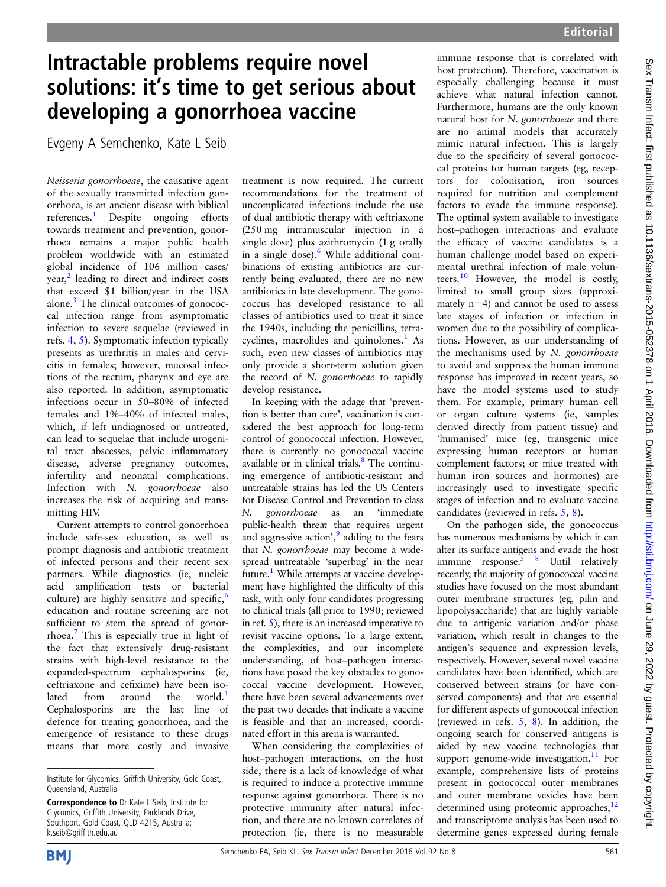## Intractable problems require novel solutions: it's time to get serious about developing a gonorrhoea vaccine

Evgeny A Semchenko, Kate L Seib

Neisseria gonorrhoeae, the causative agent of the sexually transmitted infection gonorrhoea, is an ancient disease with biblical references.[1](#page-1-0) Despite ongoing efforts towards treatment and prevention, gonorrhoea remains a major public health problem worldwide with an estimated global incidence of 106 million cases/ year,<sup>[2](#page-1-0)</sup> leading to direct and indirect costs that exceed \$1 billion/year in the USA alone. $3$  The clinical outcomes of gonococcal infection range from asymptomatic infection to severe sequelae (reviewed in refs. [4,](#page-1-0) [5\)](#page-1-0). Symptomatic infection typically presents as urethritis in males and cervicitis in females; however, mucosal infections of the rectum, pharynx and eye are also reported. In addition, asymptomatic infections occur in 50–80% of infected females and 1%–40% of infected males, which, if left undiagnosed or untreated, can lead to sequelae that include urogenital tract abscesses, pelvic inflammatory disease, adverse pregnancy outcomes, infertility and neonatal complications. Infection with N. gonorrhoeae also increases the risk of acquiring and transmitting HIV.

Current attempts to control gonorrhoea include safe-sex education, as well as prompt diagnosis and antibiotic treatment of infected persons and their recent sex partners. While diagnostics (ie, nucleic acid amplification tests or bacterial culture) are highly sensitive and specific,<sup>[6](#page-1-0)</sup> education and routine screening are not sufficient to stem the spread of gonorrhoea.[7](#page-1-0) This is especially true in light of the fact that extensively drug-resistant strains with high-level resistance to the expanded-spectrum cephalosporins (ie, ceftriaxone and cefixime) have been iso-lated from around the world.<sup>[1](#page-1-0)</sup> Cephalosporins are the last line of defence for treating gonorrhoea, and the emergence of resistance to these drugs means that more costly and invasive

treatment is now required. The current recommendations for the treatment of uncomplicated infections include the use of dual antibiotic therapy with ceftriaxone (250 mg intramuscular injection in a single dose) plus azithromycin (1 g orally in a single dose).[6](#page-1-0) While additional combinations of existing antibiotics are currently being evaluated, there are no new antibiotics in late development. The gonococcus has developed resistance to all classes of antibiotics used to treat it since the 1940s, including the penicillins, tetracyclines, macrolides and quinolones. $<sup>1</sup>$  $<sup>1</sup>$  $<sup>1</sup>$  As</sup> such, even new classes of antibiotics may only provide a short-term solution given the record of N. gonorrhoeae to rapidly develop resistance.

In keeping with the adage that 'prevention is better than cure', vaccination is considered the best approach for long-term control of gonococcal infection. However, there is currently no gonococcal vaccine available or in clinical trials.<sup>[8](#page-1-0)</sup> The continuing emergence of antibiotic-resistant and untreatable strains has led the US Centers for Disease Control and Prevention to class N. *gonorrhoeae* as an 'immediate<br>public-health threat that requires urgent and aggressive action', [9](#page-1-0) adding to the fears that N. gonorrhoeae may become a widespread untreatable 'superbug' in the near future.<sup>1</sup> While attempts at vaccine development have highlighted the difficulty of this task, with only four candidates progressing to clinical trials (all prior to 1990; reviewed in ref.  $5$ ), there is an increased imperative to revisit vaccine options. To a large extent, the complexities, and our incomplete understanding, of host–pathogen interactions have posed the key obstacles to gonococcal vaccine development. However, there have been several advancements over the past two decades that indicate a vaccine is feasible and that an increased, coordinated effort in this arena is warranted.

When considering the complexities of host–pathogen interactions, on the host side, there is a lack of knowledge of what is required to induce a protective immune response against gonorrhoea. There is no protective immunity after natural infection, and there are no known correlates of protection (ie, there is no measurable

immune response that is correlated with host protection). Therefore, vaccination is especially challenging because it must achieve what natural infection cannot. Furthermore, humans are the only known natural host for N. gonorrhoeae and there are no animal models that accurately mimic natural infection. This is largely due to the specificity of several gonococcal proteins for human targets (eg, receptors for colonisation, iron sources required for nutrition and complement factors to evade the immune response). The optimal system available to investigate host–pathogen interactions and evaluate the efficacy of vaccine candidates is a human challenge model based on experimental urethral infection of male volun-teers.<sup>[10](#page-1-0)</sup> However, the model is costly, limited to small group sizes (approximately n=4) and cannot be used to assess late stages of infection or infection in women due to the possibility of complications. However, as our understanding of the mechanisms used by N. gonorrhoeae to avoid and suppress the human immune response has improved in recent years, so have the model systems used to study them. For example, primary human cell or organ culture systems (ie, samples derived directly from patient tissue) and 'humanised' mice (eg, transgenic mice expressing human receptors or human complement factors; or mice treated with human iron sources and hormones) are increasingly used to investigate specific stages of infection and to evaluate vaccine candidates (reviewed in refs. [5](#page-1-0), [8\)](#page-1-0).

On the pathogen side, the gonococcus has numerous mechanisms by which it can alter its surface antigens and evade the host immune response.<sup>5</sup> 8 Until relatively recently, the majority of gonococcal vaccine studies have focused on the most abundant outer membrane structures (eg, pilin and lipopolysaccharide) that are highly variable due to antigenic variation and/or phase variation, which result in changes to the antigen's sequence and expression levels, respectively. However, several novel vaccine candidates have been identified, which are conserved between strains (or have conserved components) and that are essential for different aspects of gonococcal infection (reviewed in refs.  $5, 8$  $5, 8$ ). In addition, the ongoing search for conserved antigens is aided by new vaccine technologies that support genome-wide investigation.<sup>11</sup> For example, comprehensive lists of proteins present in gonococcal outer membranes and outer membrane vesicles have been determined using proteomic approaches,<sup>12</sup> and transcriptome analysis has been used to determine genes expressed during female



Institute for Glycomics, Griffith University, Gold Coast, Queensland, Australia

Correspondence to Dr Kate L Seib, Institute for Glycomics, Griffith University, Parklands Drive, Southport, Gold Coast, QLD 4215, Australia; k.seib@griffith.edu.au